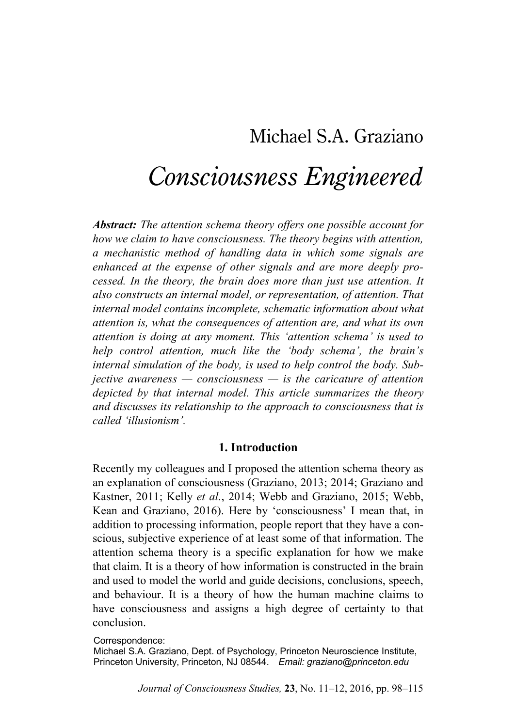# Michael S.A. Graziano

# *Consciousness Engineered*

*Abstract: The attention schema theory offers one possible account for how we claim to have consciousness. The theory begins with attention, a mechanistic method of handling data in which some signals are enhanced at the expense of other signals and are more deeply processed. In the theory, the brain does more than just use attention. It also constructs an internal model, or representation, of attention. That internal model contains incomplete, schematic information about what attention is, what the consequences of attention are, and what its own attention is doing at any moment. This 'attention schema' is used to help control attention, much like the 'body schema', the brain's internal simulation of the body, is used to help control the body. Subjective awareness — consciousness — is the caricature of attention depicted by that internal model. This article summarizes the theory and discusses its relationship to the approach to consciousness that is called 'illusionism'.*

# **1. Introduction**

Recently my colleagues and I proposed the attention schema theory as an explanation of consciousness (Graziano, 2013; 2014; Graziano and Kastner, 2011; Kelly *et al.*, 2014; Webb and Graziano, 2015; Webb, Kean and Graziano, 2016). Here by 'consciousness' I mean that, in addition to processing information, people report that they have a conscious, subjective experience of at least some of that information. The attention schema theory is a specific explanation for how we make that claim. It is a theory of how information is constructed in the brain and used to model the world and guide decisions, conclusions, speech, and behaviour. It is a theory of how the human machine claims to have consciousness and assigns a high degree of certainty to that conclusion.

Correspondence:

Michael S.A. Graziano, Dept. of Psychology, Princeton Neuroscience Institute, Princeton University, Princeton, NJ 08544. *Email: graziano@princeton.edu*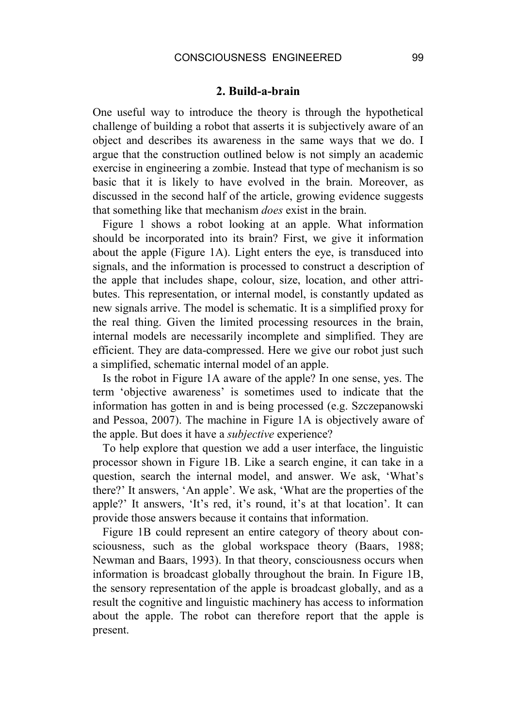#### **2. Build-a-brain**

One useful way to introduce the theory is through the hypothetical challenge of building a robot that asserts it is subjectively aware of an object and describes its awareness in the same ways that we do. I argue that the construction outlined below is not simply an academic exercise in engineering a zombie. Instead that type of mechanism is so basic that it is likely to have evolved in the brain. Moreover, as discussed in the second half of the article, growing evidence suggests that something like that mechanism *does* exist in the brain.

Figure 1 shows a robot looking at an apple. What information should be incorporated into its brain? First, we give it information about the apple (Figure 1A). Light enters the eye, is transduced into signals, and the information is processed to construct a description of the apple that includes shape, colour, size, location, and other attributes. This representation, or internal model, is constantly updated as new signals arrive. The model is schematic. It is a simplified proxy for the real thing. Given the limited processing resources in the brain, internal models are necessarily incomplete and simplified. They are efficient. They are data-compressed. Here we give our robot just such a simplified, schematic internal model of an apple.

Is the robot in Figure 1A aware of the apple? In one sense, yes. The term 'objective awareness' is sometimes used to indicate that the information has gotten in and is being processed (e.g. Szczepanowski and Pessoa, 2007). The machine in Figure 1A is objectively aware of the apple. But does it have a *subjective* experience?

To help explore that question we add a user interface, the linguistic processor shown in Figure 1B. Like a search engine, it can take in a question, search the internal model, and answer. We ask, 'What's there?' It answers, 'An apple'. We ask, 'What are the properties of the apple?' It answers, 'It's red, it's round, it's at that location'. It can provide those answers because it contains that information.

Figure 1B could represent an entire category of theory about consciousness, such as the global workspace theory (Baars, 1988; Newman and Baars, 1993). In that theory, consciousness occurs when information is broadcast globally throughout the brain. In Figure 1B, the sensory representation of the apple is broadcast globally, and as a result the cognitive and linguistic machinery has access to information about the apple. The robot can therefore report that the apple is present.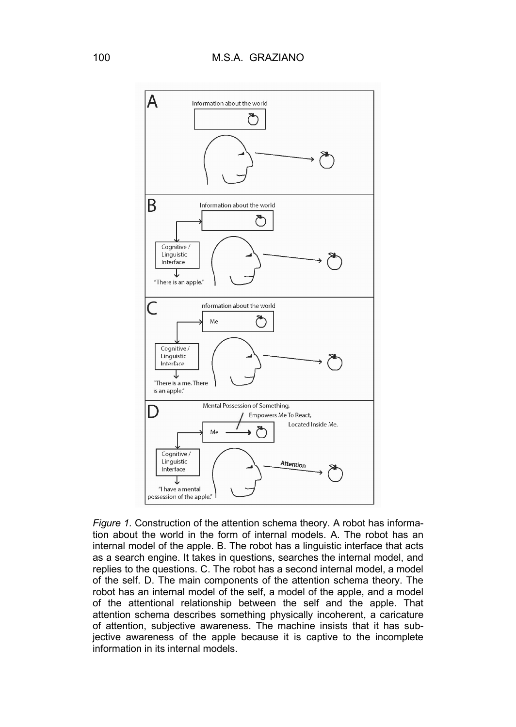

*Figure 1.* Construction of the attention schema theory. A robot has information about the world in the form of internal models. A. The robot has an internal model of the apple. B. The robot has a linguistic interface that acts as a search engine. It takes in questions, searches the internal model, and replies to the questions. C. The robot has a second internal model, a model of the self. D. The main components of the attention schema theory. The robot has an internal model of the self, a model of the apple, and a model of the attentional relationship between the self and the apple. That attention schema describes something physically incoherent, a caricature of attention, subjective awareness. The machine insists that it has subjective awareness of the apple because it is captive to the incomplete information in its internal models.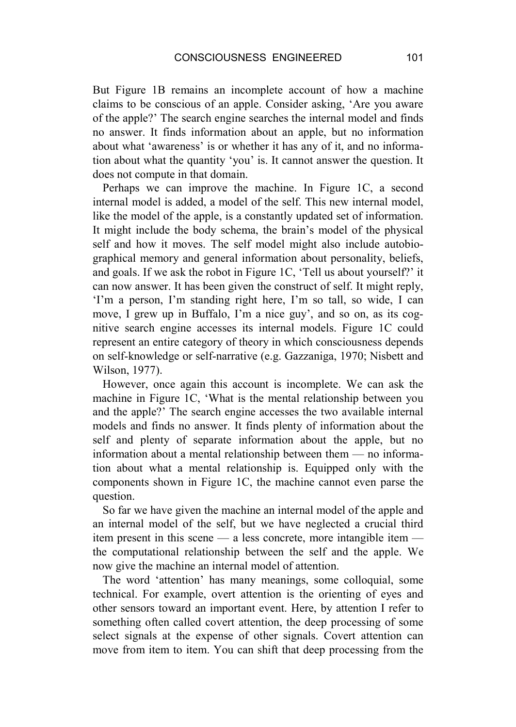But Figure 1B remains an incomplete account of how a machine claims to be conscious of an apple. Consider asking, 'Are you aware of the apple?' The search engine searches the internal model and finds no answer. It finds information about an apple, but no information about what 'awareness' is or whether it has any of it, and no information about what the quantity 'you' is. It cannot answer the question. It does not compute in that domain.

Perhaps we can improve the machine. In Figure 1C, a second internal model is added, a model of the self. This new internal model, like the model of the apple, is a constantly updated set of information. It might include the body schema, the brain's model of the physical self and how it moves. The self model might also include autobiographical memory and general information about personality, beliefs, and goals. If we ask the robot in Figure 1C, 'Tell us about yourself?' it can now answer. It has been given the construct of self. It might reply, 'I'm a person, I'm standing right here, I'm so tall, so wide, I can move, I grew up in Buffalo, I'm a nice guy', and so on, as its cognitive search engine accesses its internal models. Figure 1C could represent an entire category of theory in which consciousness depends on self-knowledge or self-narrative (e.g. Gazzaniga, 1970; Nisbett and Wilson, 1977).

However, once again this account is incomplete. We can ask the machine in Figure 1C, 'What is the mental relationship between you and the apple?' The search engine accesses the two available internal models and finds no answer. It finds plenty of information about the self and plenty of separate information about the apple, but no information about a mental relationship between them — no information about what a mental relationship is. Equipped only with the components shown in Figure 1C, the machine cannot even parse the question.

So far we have given the machine an internal model of the apple and an internal model of the self, but we have neglected a crucial third item present in this scene — a less concrete, more intangible item the computational relationship between the self and the apple. We now give the machine an internal model of attention.

The word 'attention' has many meanings, some colloquial, some technical. For example, overt attention is the orienting of eyes and other sensors toward an important event. Here, by attention I refer to something often called covert attention, the deep processing of some select signals at the expense of other signals. Covert attention can move from item to item. You can shift that deep processing from the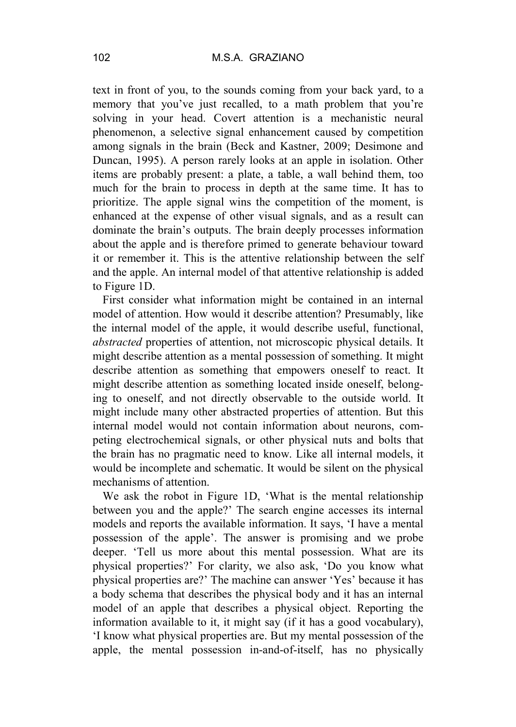text in front of you, to the sounds coming from your back yard, to a memory that you've just recalled, to a math problem that you're solving in your head. Covert attention is a mechanistic neural phenomenon, a selective signal enhancement caused by competition among signals in the brain (Beck and Kastner, 2009; Desimone and Duncan, 1995). A person rarely looks at an apple in isolation. Other items are probably present: a plate, a table, a wall behind them, too much for the brain to process in depth at the same time. It has to prioritize. The apple signal wins the competition of the moment, is enhanced at the expense of other visual signals, and as a result can dominate the brain's outputs. The brain deeply processes information about the apple and is therefore primed to generate behaviour toward it or remember it. This is the attentive relationship between the self and the apple. An internal model of that attentive relationship is added to Figure 1D.

First consider what information might be contained in an internal model of attention. How would it describe attention? Presumably, like the internal model of the apple, it would describe useful, functional, *abstracted* properties of attention, not microscopic physical details. It might describe attention as a mental possession of something. It might describe attention as something that empowers oneself to react. It might describe attention as something located inside oneself, belonging to oneself, and not directly observable to the outside world. It might include many other abstracted properties of attention. But this internal model would not contain information about neurons, competing electrochemical signals, or other physical nuts and bolts that the brain has no pragmatic need to know. Like all internal models, it would be incomplete and schematic. It would be silent on the physical mechanisms of attention.

We ask the robot in Figure 1D, 'What is the mental relationship between you and the apple?' The search engine accesses its internal models and reports the available information. It says, 'I have a mental possession of the apple'. The answer is promising and we probe deeper. 'Tell us more about this mental possession. What are its physical properties?' For clarity, we also ask, 'Do you know what physical properties are?' The machine can answer 'Yes' because it has a body schema that describes the physical body and it has an internal model of an apple that describes a physical object. Reporting the information available to it, it might say (if it has a good vocabulary), 'I know what physical properties are. But my mental possession of the apple, the mental possession in-and-of-itself, has no physically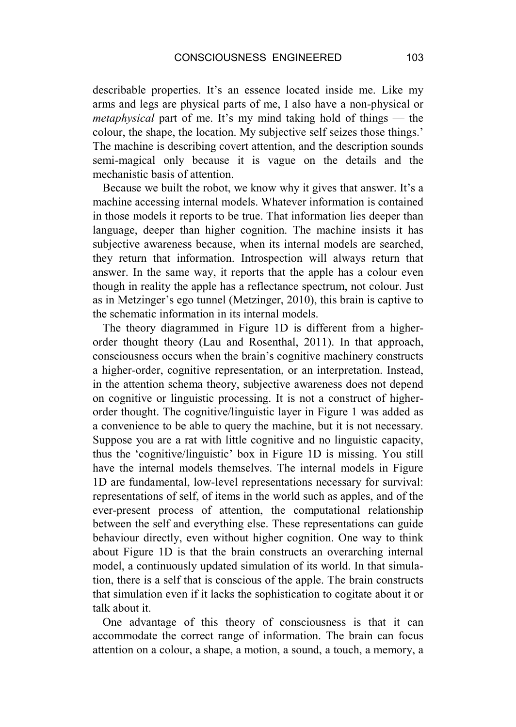describable properties. It's an essence located inside me. Like my arms and legs are physical parts of me, I also have a non-physical or *metaphysical* part of me. It's my mind taking hold of things — the colour, the shape, the location. My subjective self seizes those things.' The machine is describing covert attention, and the description sounds semi-magical only because it is vague on the details and the mechanistic basis of attention.

Because we built the robot, we know why it gives that answer. It's a machine accessing internal models. Whatever information is contained in those models it reports to be true. That information lies deeper than language, deeper than higher cognition. The machine insists it has subjective awareness because, when its internal models are searched, they return that information. Introspection will always return that answer. In the same way, it reports that the apple has a colour even though in reality the apple has a reflectance spectrum, not colour. Just as in Metzinger's ego tunnel (Metzinger, 2010), this brain is captive to the schematic information in its internal models.

The theory diagrammed in Figure 1D is different from a higherorder thought theory (Lau and Rosenthal, 2011). In that approach, consciousness occurs when the brain's cognitive machinery constructs a higher-order, cognitive representation, or an interpretation. Instead, in the attention schema theory, subjective awareness does not depend on cognitive or linguistic processing. It is not a construct of higherorder thought. The cognitive/linguistic layer in Figure 1 was added as a convenience to be able to query the machine, but it is not necessary. Suppose you are a rat with little cognitive and no linguistic capacity, thus the 'cognitive/linguistic' box in Figure 1D is missing. You still have the internal models themselves. The internal models in Figure 1D are fundamental, low-level representations necessary for survival: representations of self, of items in the world such as apples, and of the ever-present process of attention, the computational relationship between the self and everything else. These representations can guide behaviour directly, even without higher cognition. One way to think about Figure 1D is that the brain constructs an overarching internal model, a continuously updated simulation of its world. In that simulation, there is a self that is conscious of the apple. The brain constructs that simulation even if it lacks the sophistication to cogitate about it or talk about it.

One advantage of this theory of consciousness is that it can accommodate the correct range of information. The brain can focus attention on a colour, a shape, a motion, a sound, a touch, a memory, a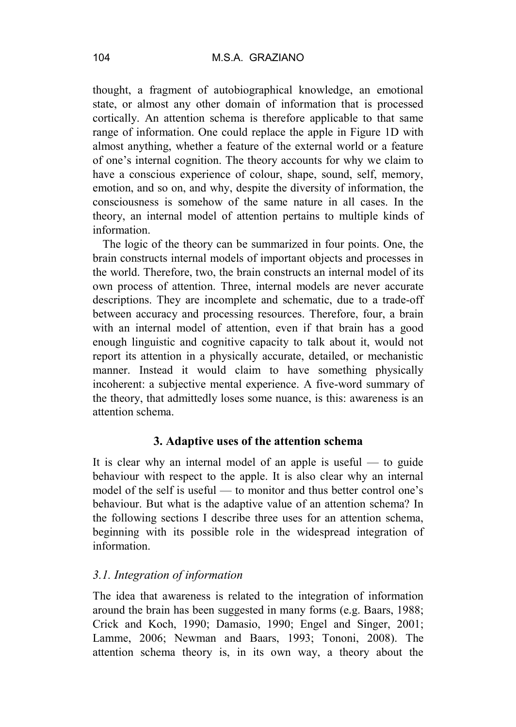thought, a fragment of autobiographical knowledge, an emotional state, or almost any other domain of information that is processed cortically. An attention schema is therefore applicable to that same range of information. One could replace the apple in Figure 1D with almost anything, whether a feature of the external world or a feature of one's internal cognition. The theory accounts for why we claim to have a conscious experience of colour, shape, sound, self, memory, emotion, and so on, and why, despite the diversity of information, the consciousness is somehow of the same nature in all cases. In the theory, an internal model of attention pertains to multiple kinds of information.

The logic of the theory can be summarized in four points. One, the brain constructs internal models of important objects and processes in the world. Therefore, two, the brain constructs an internal model of its own process of attention. Three, internal models are never accurate descriptions. They are incomplete and schematic, due to a trade-off between accuracy and processing resources. Therefore, four, a brain with an internal model of attention, even if that brain has a good enough linguistic and cognitive capacity to talk about it, would not report its attention in a physically accurate, detailed, or mechanistic manner. Instead it would claim to have something physically incoherent: a subjective mental experience. A five-word summary of the theory, that admittedly loses some nuance, is this: awareness is an attention schema.

### **3. Adaptive uses of the attention schema**

It is clear why an internal model of an apple is useful — to guide behaviour with respect to the apple. It is also clear why an internal model of the self is useful — to monitor and thus better control one's behaviour. But what is the adaptive value of an attention schema? In the following sections I describe three uses for an attention schema, beginning with its possible role in the widespread integration of information.

### *3.1. Integration of information*

The idea that awareness is related to the integration of information around the brain has been suggested in many forms (e.g. Baars, 1988; Crick and Koch, 1990; Damasio, 1990; Engel and Singer, 2001; Lamme, 2006; Newman and Baars, 1993; Tononi, 2008). The attention schema theory is, in its own way, a theory about the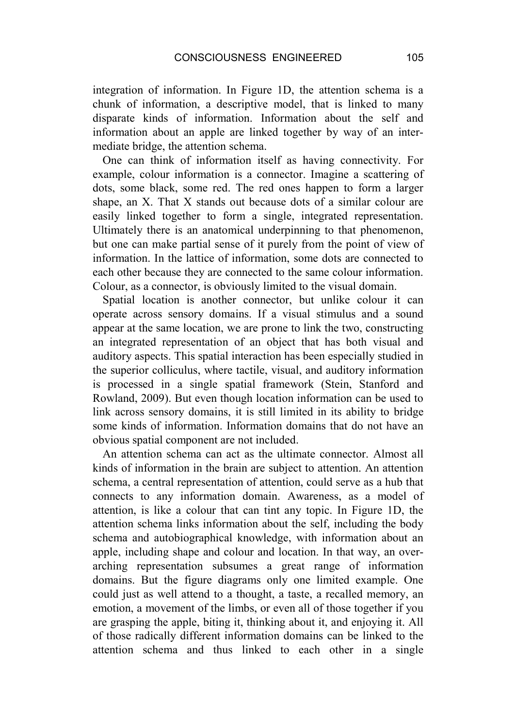integration of information. In Figure 1D, the attention schema is a chunk of information, a descriptive model, that is linked to many disparate kinds of information. Information about the self and information about an apple are linked together by way of an intermediate bridge, the attention schema.

One can think of information itself as having connectivity. For example, colour information is a connector. Imagine a scattering of dots, some black, some red. The red ones happen to form a larger shape, an X. That X stands out because dots of a similar colour are easily linked together to form a single, integrated representation. Ultimately there is an anatomical underpinning to that phenomenon, but one can make partial sense of it purely from the point of view of information. In the lattice of information, some dots are connected to each other because they are connected to the same colour information. Colour, as a connector, is obviously limited to the visual domain.

Spatial location is another connector, but unlike colour it can operate across sensory domains. If a visual stimulus and a sound appear at the same location, we are prone to link the two, constructing an integrated representation of an object that has both visual and auditory aspects. This spatial interaction has been especially studied in the superior colliculus, where tactile, visual, and auditory information is processed in a single spatial framework (Stein, Stanford and Rowland, 2009). But even though location information can be used to link across sensory domains, it is still limited in its ability to bridge some kinds of information. Information domains that do not have an obvious spatial component are not included.

An attention schema can act as the ultimate connector. Almost all kinds of information in the brain are subject to attention. An attention schema, a central representation of attention, could serve as a hub that connects to any information domain. Awareness, as a model of attention, is like a colour that can tint any topic. In Figure 1D, the attention schema links information about the self, including the body schema and autobiographical knowledge, with information about an apple, including shape and colour and location. In that way, an overarching representation subsumes a great range of information domains. But the figure diagrams only one limited example. One could just as well attend to a thought, a taste, a recalled memory, an emotion, a movement of the limbs, or even all of those together if you are grasping the apple, biting it, thinking about it, and enjoying it. All of those radically different information domains can be linked to the attention schema and thus linked to each other in a single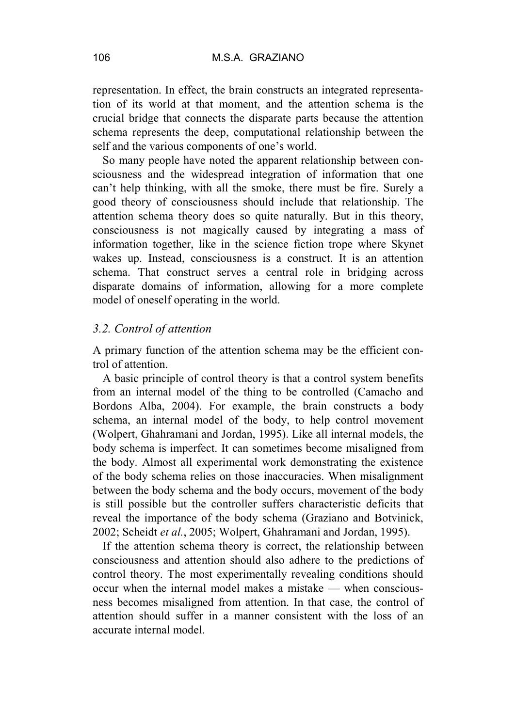representation. In effect, the brain constructs an integrated representation of its world at that moment, and the attention schema is the crucial bridge that connects the disparate parts because the attention schema represents the deep, computational relationship between the self and the various components of one's world.

So many people have noted the apparent relationship between consciousness and the widespread integration of information that one can't help thinking, with all the smoke, there must be fire. Surely a good theory of consciousness should include that relationship. The attention schema theory does so quite naturally. But in this theory, consciousness is not magically caused by integrating a mass of information together, like in the science fiction trope where Skynet wakes up. Instead, consciousness is a construct. It is an attention schema. That construct serves a central role in bridging across disparate domains of information, allowing for a more complete model of oneself operating in the world.

#### *3.2. Control of attention*

A primary function of the attention schema may be the efficient control of attention.

A basic principle of control theory is that a control system benefits from an internal model of the thing to be controlled (Camacho and Bordons Alba, 2004). For example, the brain constructs a body schema, an internal model of the body, to help control movement (Wolpert, Ghahramani and Jordan, 1995). Like all internal models, the body schema is imperfect. It can sometimes become misaligned from the body. Almost all experimental work demonstrating the existence of the body schema relies on those inaccuracies. When misalignment between the body schema and the body occurs, movement of the body is still possible but the controller suffers characteristic deficits that reveal the importance of the body schema (Graziano and Botvinick, 2002; Scheidt *et al.*, 2005; Wolpert, Ghahramani and Jordan, 1995).

If the attention schema theory is correct, the relationship between consciousness and attention should also adhere to the predictions of control theory. The most experimentally revealing conditions should occur when the internal model makes a mistake — when consciousness becomes misaligned from attention. In that case, the control of attention should suffer in a manner consistent with the loss of an accurate internal model.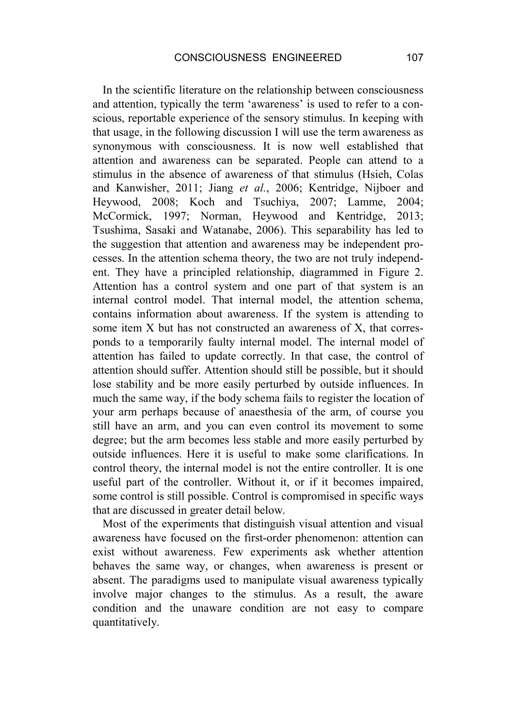In the scientific literature on the relationship between consciousness and attention, typically the term 'awareness' is used to refer to a conscious, reportable experience of the sensory stimulus. In keeping with that usage, in the following discussion I will use the term awareness as synonymous with consciousness. It is now well established that attention and awareness can be separated. People can attend to a stimulus in the absence of awareness of that stimulus (Hsieh, Colas and Kanwisher, 2011; Jiang *et al.*, 2006; Kentridge, Nijboer and Heywood, 2008; Koch and Tsuchiya, 2007; Lamme, 2004; McCormick, 1997; Norman, Heywood and Kentridge, 2013; Tsushima, Sasaki and Watanabe, 2006). This separability has led to the suggestion that attention and awareness may be independent processes. In the attention schema theory, the two are not truly independent. They have a principled relationship, diagrammed in Figure 2. Attention has a control system and one part of that system is an internal control model. That internal model, the attention schema, contains information about awareness. If the system is attending to some item X but has not constructed an awareness of X, that corresponds to a temporarily faulty internal model. The internal model of attention has failed to update correctly. In that case, the control of attention should suffer. Attention should still be possible, but it should lose stability and be more easily perturbed by outside influences. In much the same way, if the body schema fails to register the location of your arm perhaps because of anaesthesia of the arm, of course you still have an arm, and you can even control its movement to some degree; but the arm becomes less stable and more easily perturbed by outside influences. Here it is useful to make some clarifications. In control theory, the internal model is not the entire controller. It is one useful part of the controller. Without it, or if it becomes impaired, some control is still possible. Control is compromised in specific ways that are discussed in greater detail below.

Most of the experiments that distinguish visual attention and visual awareness have focused on the first-order phenomenon: attention can exist without awareness. Few experiments ask whether attention behaves the same way, or changes, when awareness is present or absent. The paradigms used to manipulate visual awareness typically involve major changes to the stimulus. As a result, the aware condition and the unaware condition are not easy to compare quantitatively.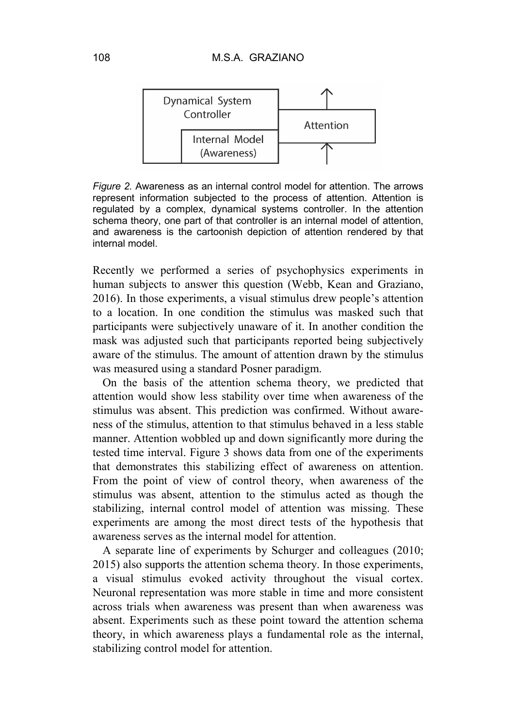

*Figure 2.* Awareness as an internal control model for attention. The arrows represent information subjected to the process of attention. Attention is regulated by a complex, dynamical systems controller. In the attention schema theory, one part of that controller is an internal model of attention, and awareness is the cartoonish depiction of attention rendered by that internal model.

Recently we performed a series of psychophysics experiments in human subjects to answer this question (Webb, Kean and Graziano, 2016). In those experiments, a visual stimulus drew people's attention to a location. In one condition the stimulus was masked such that participants were subjectively unaware of it. In another condition the mask was adjusted such that participants reported being subjectively aware of the stimulus. The amount of attention drawn by the stimulus was measured using a standard Posner paradigm.

On the basis of the attention schema theory, we predicted that attention would show less stability over time when awareness of the stimulus was absent. This prediction was confirmed. Without awareness of the stimulus, attention to that stimulus behaved in a less stable manner. Attention wobbled up and down significantly more during the tested time interval. Figure 3 shows data from one of the experiments that demonstrates this stabilizing effect of awareness on attention. From the point of view of control theory, when awareness of the stimulus was absent, attention to the stimulus acted as though the stabilizing, internal control model of attention was missing. These experiments are among the most direct tests of the hypothesis that awareness serves as the internal model for attention.

A separate line of experiments by Schurger and colleagues (2010; 2015) also supports the attention schema theory. In those experiments, a visual stimulus evoked activity throughout the visual cortex. Neuronal representation was more stable in time and more consistent across trials when awareness was present than when awareness was absent. Experiments such as these point toward the attention schema theory, in which awareness plays a fundamental role as the internal, stabilizing control model for attention.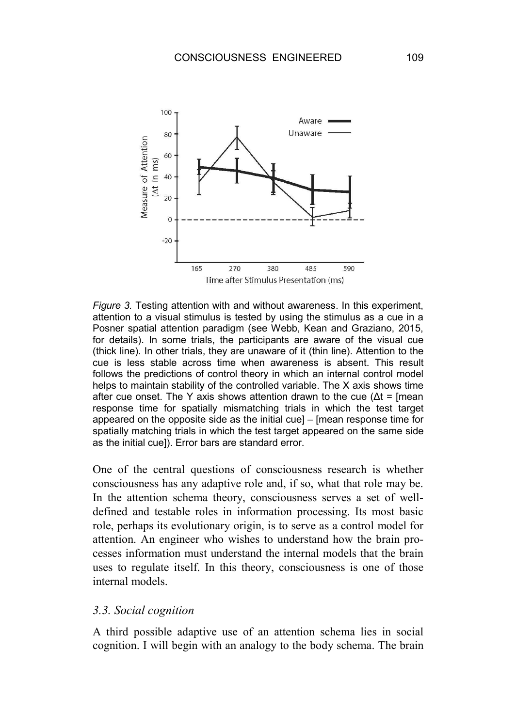

*Figure 3.* Testing attention with and without awareness. In this experiment, attention to a visual stimulus is tested by using the stimulus as a cue in a Posner spatial attention paradigm (see Webb, Kean and Graziano, 2015, for details). In some trials, the participants are aware of the visual cue (thick line). In other trials, they are unaware of it (thin line). Attention to the cue is less stable across time when awareness is absent. This result follows the predictions of control theory in which an internal control model helps to maintain stability of the controlled variable. The X axis shows time after cue onset. The Y axis shows attention drawn to the cue  $(\Delta t =$  [mean response time for spatially mismatching trials in which the test target appeared on the opposite side as the initial cue] – [mean response time for spatially matching trials in which the test target appeared on the same side as the initial cue]). Error bars are standard error.

One of the central questions of consciousness research is whether consciousness has any adaptive role and, if so, what that role may be. In the attention schema theory, consciousness serves a set of welldefined and testable roles in information processing. Its most basic role, perhaps its evolutionary origin, is to serve as a control model for attention. An engineer who wishes to understand how the brain processes information must understand the internal models that the brain uses to regulate itself. In this theory, consciousness is one of those internal models.

#### *3.3. Social cognition*

A third possible adaptive use of an attention schema lies in social cognition. I will begin with an analogy to the body schema. The brain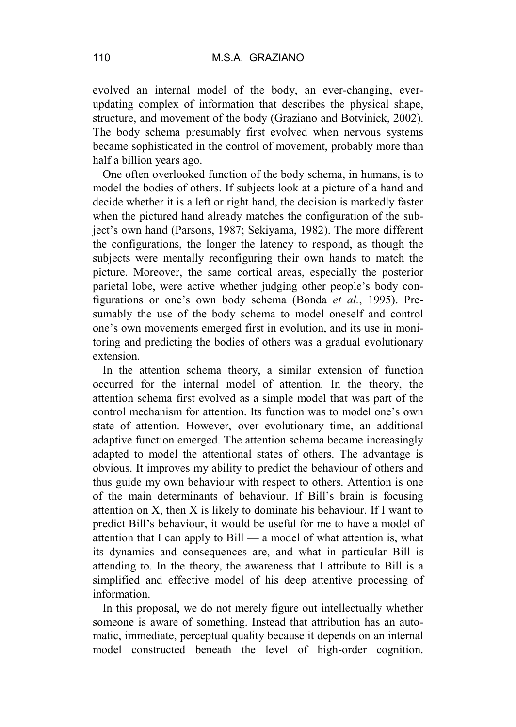evolved an internal model of the body, an ever-changing, everupdating complex of information that describes the physical shape, structure, and movement of the body (Graziano and Botvinick, 2002). The body schema presumably first evolved when nervous systems became sophisticated in the control of movement, probably more than half a billion years ago.

One often overlooked function of the body schema, in humans, is to model the bodies of others. If subjects look at a picture of a hand and decide whether it is a left or right hand, the decision is markedly faster when the pictured hand already matches the configuration of the subject's own hand (Parsons, 1987; Sekiyama, 1982). The more different the configurations, the longer the latency to respond, as though the subjects were mentally reconfiguring their own hands to match the picture. Moreover, the same cortical areas, especially the posterior parietal lobe, were active whether judging other people's body configurations or one's own body schema (Bonda *et al.*, 1995). Presumably the use of the body schema to model oneself and control one's own movements emerged first in evolution, and its use in monitoring and predicting the bodies of others was a gradual evolutionary extension.

In the attention schema theory, a similar extension of function occurred for the internal model of attention. In the theory, the attention schema first evolved as a simple model that was part of the control mechanism for attention. Its function was to model one's own state of attention. However, over evolutionary time, an additional adaptive function emerged. The attention schema became increasingly adapted to model the attentional states of others. The advantage is obvious. It improves my ability to predict the behaviour of others and thus guide my own behaviour with respect to others. Attention is one of the main determinants of behaviour. If Bill's brain is focusing attention on X, then X is likely to dominate his behaviour. If I want to predict Bill's behaviour, it would be useful for me to have a model of attention that I can apply to Bill — a model of what attention is, what its dynamics and consequences are, and what in particular Bill is attending to. In the theory, the awareness that I attribute to Bill is a simplified and effective model of his deep attentive processing of information.

In this proposal, we do not merely figure out intellectually whether someone is aware of something. Instead that attribution has an automatic, immediate, perceptual quality because it depends on an internal model constructed beneath the level of high-order cognition.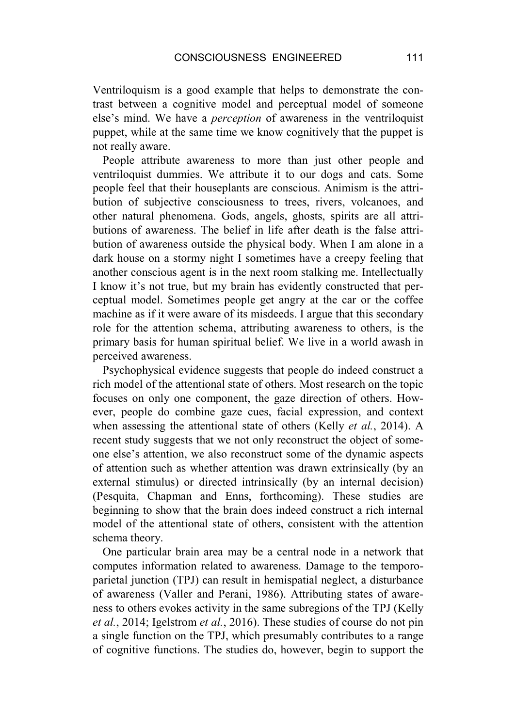Ventriloquism is a good example that helps to demonstrate the contrast between a cognitive model and perceptual model of someone else's mind. We have a *perception* of awareness in the ventriloquist puppet, while at the same time we know cognitively that the puppet is not really aware.

People attribute awareness to more than just other people and ventriloquist dummies. We attribute it to our dogs and cats. Some people feel that their houseplants are conscious. Animism is the attribution of subjective consciousness to trees, rivers, volcanoes, and other natural phenomena. Gods, angels, ghosts, spirits are all attributions of awareness. The belief in life after death is the false attribution of awareness outside the physical body. When I am alone in a dark house on a stormy night I sometimes have a creepy feeling that another conscious agent is in the next room stalking me. Intellectually I know it's not true, but my brain has evidently constructed that perceptual model. Sometimes people get angry at the car or the coffee machine as if it were aware of its misdeeds. I argue that this secondary role for the attention schema, attributing awareness to others, is the primary basis for human spiritual belief. We live in a world awash in perceived awareness.

Psychophysical evidence suggests that people do indeed construct a rich model of the attentional state of others. Most research on the topic focuses on only one component, the gaze direction of others. However, people do combine gaze cues, facial expression, and context when assessing the attentional state of others (Kelly *et al.*, 2014). A recent study suggests that we not only reconstruct the object of someone else's attention, we also reconstruct some of the dynamic aspects of attention such as whether attention was drawn extrinsically (by an external stimulus) or directed intrinsically (by an internal decision) (Pesquita, Chapman and Enns, forthcoming). These studies are beginning to show that the brain does indeed construct a rich internal model of the attentional state of others, consistent with the attention schema theory.

One particular brain area may be a central node in a network that computes information related to awareness. Damage to the temporoparietal junction (TPJ) can result in hemispatial neglect, a disturbance of awareness (Valler and Perani, 1986). Attributing states of awareness to others evokes activity in the same subregions of the TPJ (Kelly *et al.*, 2014; Igelstrom *et al.*, 2016). These studies of course do not pin a single function on the TPJ, which presumably contributes to a range of cognitive functions. The studies do, however, begin to support the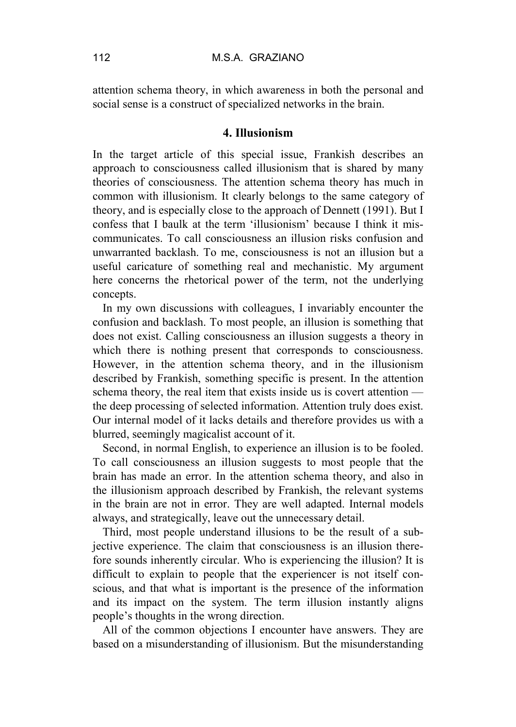attention schema theory, in which awareness in both the personal and social sense is a construct of specialized networks in the brain.

## **4. Illusionism**

In the target article of this special issue, Frankish describes an approach to consciousness called illusionism that is shared by many theories of consciousness. The attention schema theory has much in common with illusionism. It clearly belongs to the same category of theory, and is especially close to the approach of Dennett (1991). But I confess that I baulk at the term 'illusionism' because I think it miscommunicates. To call consciousness an illusion risks confusion and unwarranted backlash. To me, consciousness is not an illusion but a useful caricature of something real and mechanistic. My argument here concerns the rhetorical power of the term, not the underlying concepts.

In my own discussions with colleagues, I invariably encounter the confusion and backlash. To most people, an illusion is something that does not exist. Calling consciousness an illusion suggests a theory in which there is nothing present that corresponds to consciousness. However, in the attention schema theory, and in the illusionism described by Frankish, something specific is present. In the attention schema theory, the real item that exists inside us is covert attention the deep processing of selected information. Attention truly does exist. Our internal model of it lacks details and therefore provides us with a blurred, seemingly magicalist account of it.

Second, in normal English, to experience an illusion is to be fooled. To call consciousness an illusion suggests to most people that the brain has made an error. In the attention schema theory, and also in the illusionism approach described by Frankish, the relevant systems in the brain are not in error. They are well adapted. Internal models always, and strategically, leave out the unnecessary detail.

Third, most people understand illusions to be the result of a subjective experience. The claim that consciousness is an illusion therefore sounds inherently circular. Who is experiencing the illusion? It is difficult to explain to people that the experiencer is not itself conscious, and that what is important is the presence of the information and its impact on the system. The term illusion instantly aligns people's thoughts in the wrong direction.

All of the common objections I encounter have answers. They are based on a misunderstanding of illusionism. But the misunderstanding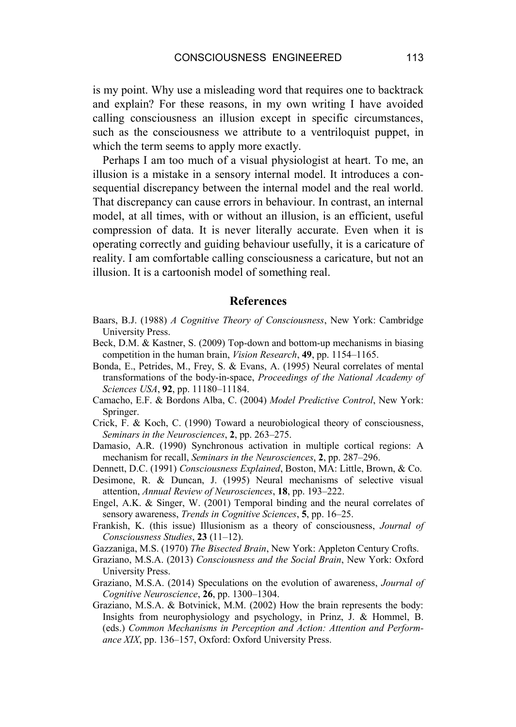is my point. Why use a misleading word that requires one to backtrack and explain? For these reasons, in my own writing I have avoided calling consciousness an illusion except in specific circumstances, such as the consciousness we attribute to a ventriloquist puppet, in which the term seems to apply more exactly.

Perhaps I am too much of a visual physiologist at heart. To me, an illusion is a mistake in a sensory internal model. It introduces a consequential discrepancy between the internal model and the real world. That discrepancy can cause errors in behaviour. In contrast, an internal model, at all times, with or without an illusion, is an efficient, useful compression of data. It is never literally accurate. Even when it is operating correctly and guiding behaviour usefully, it is a caricature of reality. I am comfortable calling consciousness a caricature, but not an illusion. It is a cartoonish model of something real.

#### **References**

- Baars, B.J. (1988) *A Cognitive Theory of Consciousness*, New York: Cambridge University Press.
- Beck, D.M. & Kastner, S. (2009) Top-down and bottom-up mechanisms in biasing competition in the human brain, *Vision Research*, **49**, pp. 1154–1165.
- Bonda, E., Petrides, M., Frey, S. & Evans, A. (1995) Neural correlates of mental transformations of the body-in-space, *Proceedings of the National Academy of Sciences USA*, **92**, pp. 11180–11184.
- Camacho, E.F. & Bordons Alba, C. (2004) *Model Predictive Control*, New York: Springer.
- Crick, F. & Koch, C. (1990) Toward a neurobiological theory of consciousness, *Seminars in the Neurosciences*, **2**, pp. 263–275.
- Damasio, A.R. (1990) Synchronous activation in multiple cortical regions: A mechanism for recall, *Seminars in the Neurosciences*, **2**, pp. 287–296.
- Dennett, D.C. (1991) *Consciousness Explained*, Boston, MA: Little, Brown, & Co.
- Desimone, R. & Duncan, J. (1995) Neural mechanisms of selective visual attention, *Annual Review of Neurosciences*, **18**, pp. 193–222.
- Engel, A.K. & Singer, W. (2001) Temporal binding and the neural correlates of sensory awareness, *Trends in Cognitive Sciences*, **5**, pp. 16–25.
- Frankish, K. (this issue) Illusionism as a theory of consciousness, *Journal of Consciousness Studies*, **23** (11–12).
- Gazzaniga, M.S. (1970) *The Bisected Brain*, New York: Appleton Century Crofts.
- Graziano, M.S.A. (2013) *Consciousness and the Social Brain*, New York: Oxford University Press.
- Graziano, M.S.A. (2014) Speculations on the evolution of awareness, *Journal of Cognitive Neuroscience*, **26**, pp. 1300–1304.
- Graziano, M.S.A. & Botvinick, M.M. (2002) How the brain represents the body: Insights from neurophysiology and psychology, in Prinz, J. & Hommel, B. (eds.) *Common Mechanisms in Perception and Action: Attention and Performance XIX*, pp. 136–157, Oxford: Oxford University Press.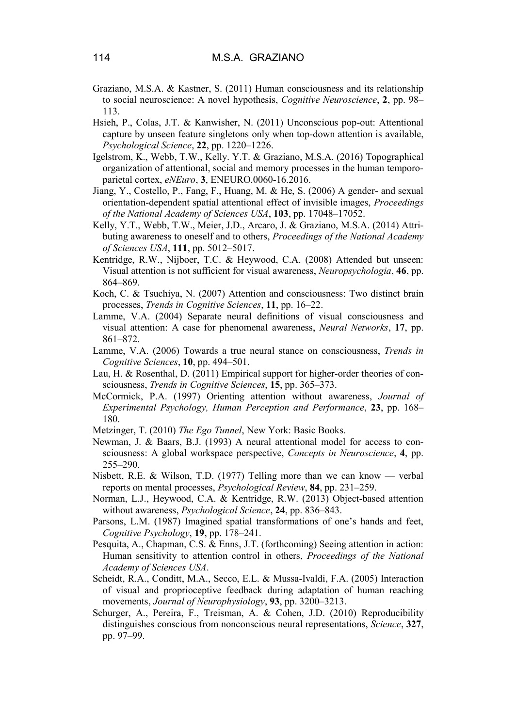- Graziano, M.S.A. & Kastner, S. (2011) Human consciousness and its relationship to social neuroscience: A novel hypothesis, *Cognitive Neuroscience*, **2**, pp. 98– 113.
- Hsieh, P., Colas, J.T. & Kanwisher, N. (2011) Unconscious pop-out: Attentional capture by unseen feature singletons only when top-down attention is available, *Psychological Science*, **22**, pp. 1220–1226.
- Igelstrom, K., Webb, T.W., Kelly. Y.T. & Graziano, M.S.A. (2016) Topographical organization of attentional, social and memory processes in the human temporoparietal cortex, *eNEuro*, **3**, ENEURO.0060-16.2016.
- Jiang, Y., Costello, P., Fang, F., Huang, M. & He, S. (2006) A gender- and sexual orientation-dependent spatial attentional effect of invisible images, *Proceedings of the National Academy of Sciences USA*, **103**, pp. 17048–17052.
- Kelly, Y.T., Webb, T.W., Meier, J.D., Arcaro, J. & Graziano, M.S.A. (2014) Attributing awareness to oneself and to others, *Proceedings of the National Academy of Sciences USA*, **111**, pp. 5012–5017.
- Kentridge, R.W., Nijboer, T.C. & Heywood, C.A. (2008) Attended but unseen: Visual attention is not sufficient for visual awareness, *Neuropsychologia*, **46**, pp. 864–869.
- Koch, C. & Tsuchiya, N. (2007) Attention and consciousness: Two distinct brain processes, *Trends in Cognitive Sciences*, **11**, pp. 16–22.
- Lamme, V.A. (2004) Separate neural definitions of visual consciousness and visual attention: A case for phenomenal awareness, *Neural Networks*, **17**, pp. 861–872.
- Lamme, V.A. (2006) Towards a true neural stance on consciousness, *Trends in Cognitive Sciences*, **10**, pp. 494–501.
- Lau, H. & Rosenthal, D. (2011) Empirical support for higher-order theories of consciousness, *Trends in Cognitive Sciences*, **15**, pp. 365–373.
- McCormick, P.A. (1997) Orienting attention without awareness, *Journal of Experimental Psychology, Human Perception and Performance*, **23**, pp. 168– 180.
- Metzinger, T. (2010) *The Ego Tunnel*, New York: Basic Books.
- Newman, J. & Baars, B.J. (1993) A neural attentional model for access to consciousness: A global workspace perspective, *Concepts in Neuroscience*, **4**, pp. 255–290.
- Nisbett, R.E. & Wilson, T.D. (1977) Telling more than we can know verbal reports on mental processes, *Psychological Review*, **84**, pp. 231–259.
- Norman, L.J., Heywood, C.A. & Kentridge, R.W. (2013) Object-based attention without awareness, *Psychological Science*, **24**, pp. 836–843.
- Parsons, L.M. (1987) Imagined spatial transformations of one's hands and feet, *Cognitive Psychology*, **19**, pp. 178–241.
- Pesquita, A., Chapman, C.S. & Enns, J.T. (forthcoming) Seeing attention in action: Human sensitivity to attention control in others, *Proceedings of the National Academy of Sciences USA*.
- Scheidt, R.A., Conditt, M.A., Secco, E.L. & Mussa-Ivaldi, F.A. (2005) Interaction of visual and proprioceptive feedback during adaptation of human reaching movements, *Journal of Neurophysiology*, **93**, pp. 3200–3213.
- Schurger, A., Pereira, F., Treisman, A. & Cohen, J.D. (2010) Reproducibility distinguishes conscious from nonconscious neural representations, *Science*, **327**, pp. 97–99.